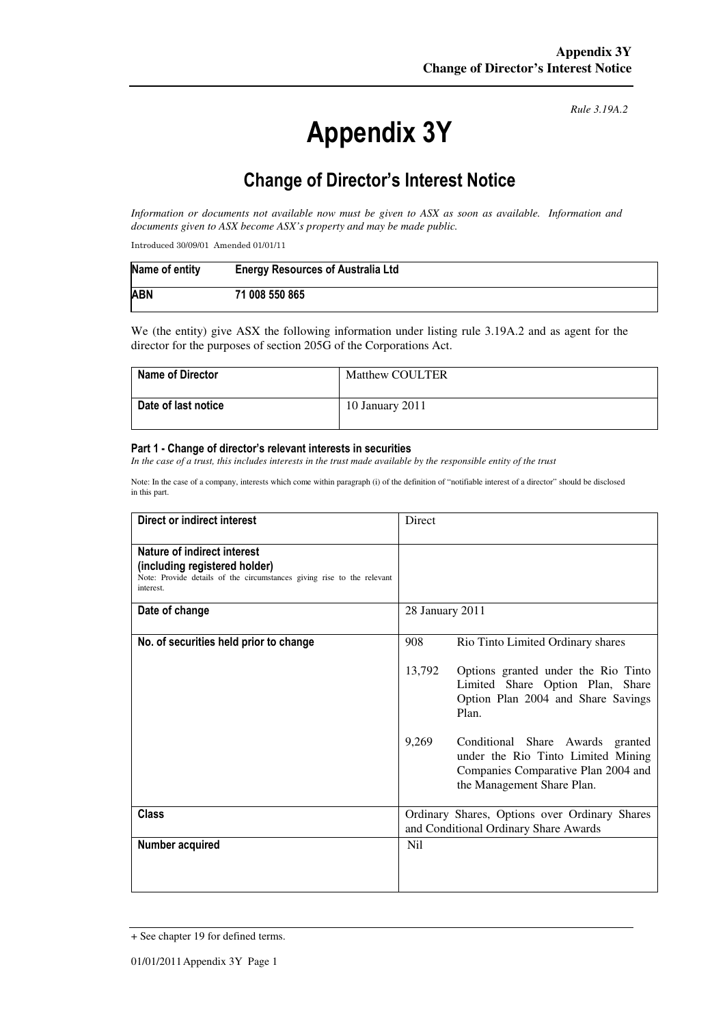# Appendix 3Y

*Rule 3.19A.2*

# Change of Director's Interest Notice

*Information or documents not available now must be given to ASX as soon as available. Information and documents given to ASX become ASX's property and may be made public.* 

Introduced 30/09/01 Amended 01/01/11

| Name of entity | <b>Energy Resources of Australia Ltd</b> |
|----------------|------------------------------------------|
| <b>ABN</b>     | 71 008 550 865                           |

We (the entity) give ASX the following information under listing rule 3.19A.2 and as agent for the director for the purposes of section 205G of the Corporations Act.

| <b>Name of Director</b> | <b>Matthew COULTER</b> |
|-------------------------|------------------------|
| Date of last notice     | 10 January 2011        |

#### Part 1 - Change of director's relevant interests in securities

In the case of a trust, this includes interests in the trust made available by the responsible entity of the trust

Note: In the case of a company, interests which come within paragraph (i) of the definition of "notifiable interest of a director" should be disclosed in this part.

| Direct or indirect interest                                                                                                                         | Direct                                                                                 |                                                                                                                                             |
|-----------------------------------------------------------------------------------------------------------------------------------------------------|----------------------------------------------------------------------------------------|---------------------------------------------------------------------------------------------------------------------------------------------|
| Nature of indirect interest<br>(including registered holder)<br>Note: Provide details of the circumstances giving rise to the relevant<br>interest. |                                                                                        |                                                                                                                                             |
| Date of change                                                                                                                                      | 28 January 2011                                                                        |                                                                                                                                             |
| No. of securities held prior to change                                                                                                              | 908                                                                                    | Rio Tinto Limited Ordinary shares                                                                                                           |
|                                                                                                                                                     | 13,792                                                                                 | Options granted under the Rio Tinto<br>Limited Share Option Plan, Share<br>Option Plan 2004 and Share Savings<br>Plan.                      |
|                                                                                                                                                     | 9,269                                                                                  | Conditional Share Awards granted<br>under the Rio Tinto Limited Mining<br>Companies Comparative Plan 2004 and<br>the Management Share Plan. |
| <b>Class</b>                                                                                                                                        | Ordinary Shares, Options over Ordinary Shares<br>and Conditional Ordinary Share Awards |                                                                                                                                             |
| Number acquired                                                                                                                                     | N <sub>i</sub>                                                                         |                                                                                                                                             |

<sup>+</sup> See chapter 19 for defined terms.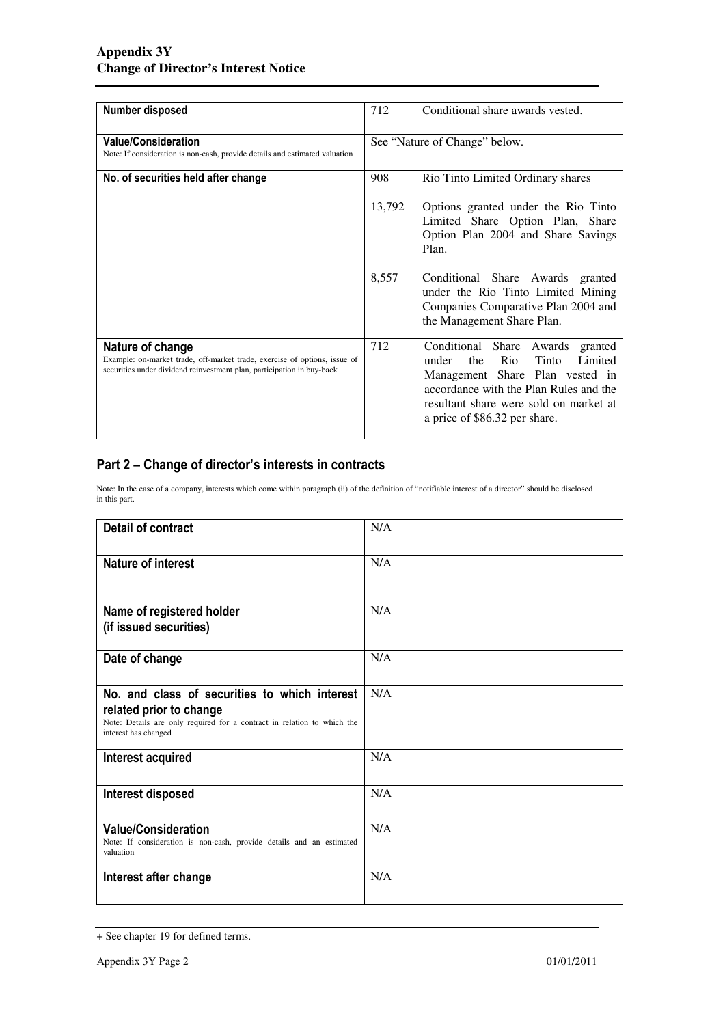| Number disposed                                                                                                                                                         | 712                           | Conditional share awards vested.                                                                                                                                                                                                          |
|-------------------------------------------------------------------------------------------------------------------------------------------------------------------------|-------------------------------|-------------------------------------------------------------------------------------------------------------------------------------------------------------------------------------------------------------------------------------------|
|                                                                                                                                                                         |                               |                                                                                                                                                                                                                                           |
| <b>Value/Consideration</b>                                                                                                                                              | See "Nature of Change" below. |                                                                                                                                                                                                                                           |
| Note: If consideration is non-cash, provide details and estimated valuation                                                                                             |                               |                                                                                                                                                                                                                                           |
| No. of securities held after change                                                                                                                                     | 908                           | Rio Tinto Limited Ordinary shares                                                                                                                                                                                                         |
|                                                                                                                                                                         | 13,792                        | Options granted under the Rio Tinto<br>Limited Share Option Plan, Share<br>Option Plan 2004 and Share Savings<br>Plan.                                                                                                                    |
|                                                                                                                                                                         | 8,557                         | Conditional Share Awards granted<br>under the Rio Tinto Limited Mining<br>Companies Comparative Plan 2004 and<br>the Management Share Plan.                                                                                               |
| Nature of change<br>Example: on-market trade, off-market trade, exercise of options, issue of<br>securities under dividend reinvestment plan, participation in buy-back | 712                           | Conditional Share<br>Awards<br>granted<br>Rio<br>Tinto<br>Limited<br>the<br>under<br>Management Share Plan vested in<br>accordance with the Plan Rules and the<br>resultant share were sold on market at<br>a price of \$86.32 per share. |

### Part 2 – Change of director's interests in contracts

Note: In the case of a company, interests which come within paragraph (ii) of the definition of "notifiable interest of a director" should be disclosed in this part.

| <b>Detail of contract</b>                                                                                                                                                   | N/A |
|-----------------------------------------------------------------------------------------------------------------------------------------------------------------------------|-----|
| <b>Nature of interest</b>                                                                                                                                                   | N/A |
| Name of registered holder<br>(if issued securities)                                                                                                                         | N/A |
| Date of change                                                                                                                                                              | N/A |
| No. and class of securities to which interest<br>related prior to change<br>Note: Details are only required for a contract in relation to which the<br>interest has changed | N/A |
| Interest acquired                                                                                                                                                           | N/A |
| Interest disposed                                                                                                                                                           | N/A |
| <b>Value/Consideration</b><br>Note: If consideration is non-cash, provide details and an estimated<br>valuation                                                             | N/A |
| Interest after change                                                                                                                                                       | N/A |

<sup>+</sup> See chapter 19 for defined terms.